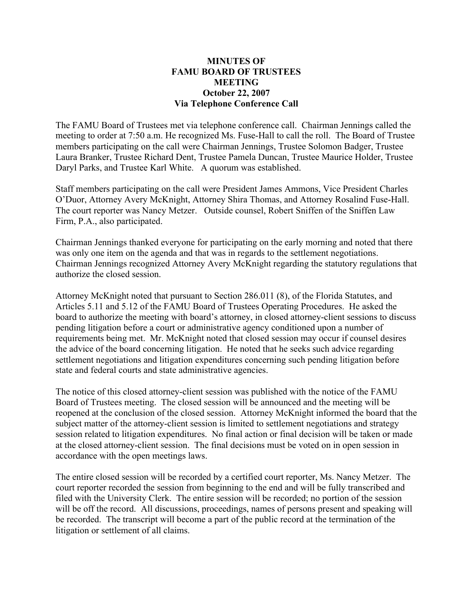## **MINUTES OF FAMU BOARD OF TRUSTEES MEETING October 22, 2007 Via Telephone Conference Call**

The FAMU Board of Trustees met via telephone conference call. Chairman Jennings called the meeting to order at 7:50 a.m. He recognized Ms. Fuse-Hall to call the roll. The Board of Trustee members participating on the call were Chairman Jennings, Trustee Solomon Badger, Trustee Laura Branker, Trustee Richard Dent, Trustee Pamela Duncan, Trustee Maurice Holder, Trustee Daryl Parks, and Trustee Karl White. A quorum was established.

Staff members participating on the call were President James Ammons, Vice President Charles O'Duor, Attorney Avery McKnight, Attorney Shira Thomas, and Attorney Rosalind Fuse-Hall. The court reporter was Nancy Metzer. Outside counsel, Robert Sniffen of the Sniffen Law Firm, P.A., also participated.

Chairman Jennings thanked everyone for participating on the early morning and noted that there was only one item on the agenda and that was in regards to the settlement negotiations. Chairman Jennings recognized Attorney Avery McKnight regarding the statutory regulations that authorize the closed session.

Attorney McKnight noted that pursuant to Section 286.011 (8), of the Florida Statutes, and Articles 5.11 and 5.12 of the FAMU Board of Trustees Operating Procedures. He asked the board to authorize the meeting with board's attorney, in closed attorney-client sessions to discuss pending litigation before a court or administrative agency conditioned upon a number of requirements being met. Mr. McKnight noted that closed session may occur if counsel desires the advice of the board concerning litigation. He noted that he seeks such advice regarding settlement negotiations and litigation expenditures concerning such pending litigation before state and federal courts and state administrative agencies.

The notice of this closed attorney-client session was published with the notice of the FAMU Board of Trustees meeting. The closed session will be announced and the meeting will be reopened at the conclusion of the closed session. Attorney McKnight informed the board that the subject matter of the attorney-client session is limited to settlement negotiations and strategy session related to litigation expenditures. No final action or final decision will be taken or made at the closed attorney-client session. The final decisions must be voted on in open session in accordance with the open meetings laws.

The entire closed session will be recorded by a certified court reporter, Ms. Nancy Metzer. The court reporter recorded the session from beginning to the end and will be fully transcribed and filed with the University Clerk. The entire session will be recorded; no portion of the session will be off the record. All discussions, proceedings, names of persons present and speaking will be recorded. The transcript will become a part of the public record at the termination of the litigation or settlement of all claims.